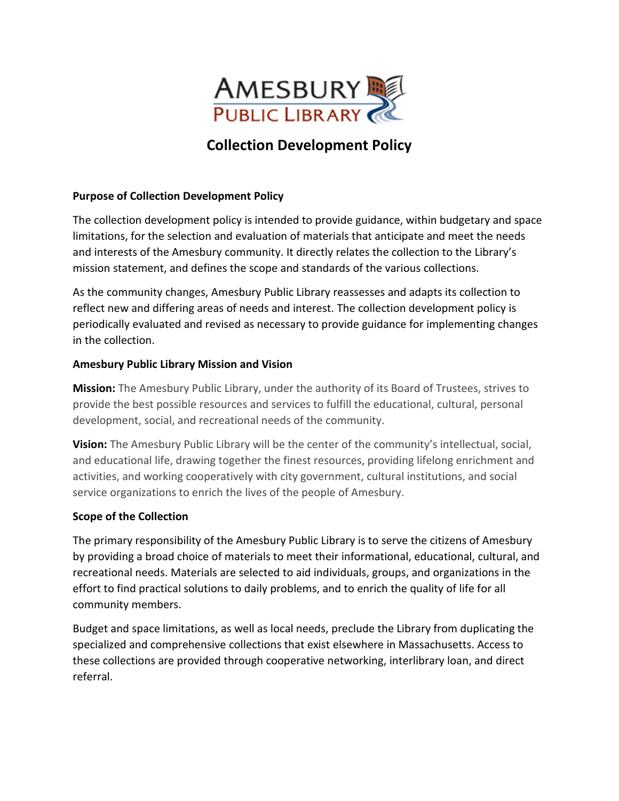

# **Collection Development Policy**

## **Purpose of Collection Development Policy**

The collection development policy is intended to provide guidance, within budgetary and space limitations, for the selection and evaluation of materials that anticipate and meet the needs and interests of the Amesbury community. It directly relates the collection to the Library's mission statement, and defines the scope and standards of the various collections.

As the community changes, Amesbury Public Library reassesses and adapts its collection to reflect new and differing areas of needs and interest. The collection development policy is periodically evaluated and revised as necessary to provide guidance for implementing changes in the collection.

#### **Amesbury Public Library Mission and Vision**

**Mission:** The Amesbury Public Library, under the authority of its Board of Trustees, strives to provide the best possible resources and services to fulfill the educational, cultural, personal development, social, and recreational needs of the community.

**Vision:** The Amesbury Public Library will be the center of the community's intellectual, social, and educational life, drawing together the finest resources, providing lifelong enrichment and activities, and working cooperatively with city government, cultural institutions, and social service organizations to enrich the lives of the people of Amesbury.

#### **Scope of the Collection**

The primary responsibility of the Amesbury Public Library is to serve the citizens of Amesbury by providing a broad choice of materials to meet their informational, educational, cultural, and recreational needs. Materials are selected to aid individuals, groups, and organizations in the effort to find practical solutions to daily problems, and to enrich the quality of life for all community members.

Budget and space limitations, as well as local needs, preclude the Library from duplicating the specialized and comprehensive collections that exist elsewhere in Massachusetts. Access to these collections are provided through cooperative networking, interlibrary loan, and direct referral.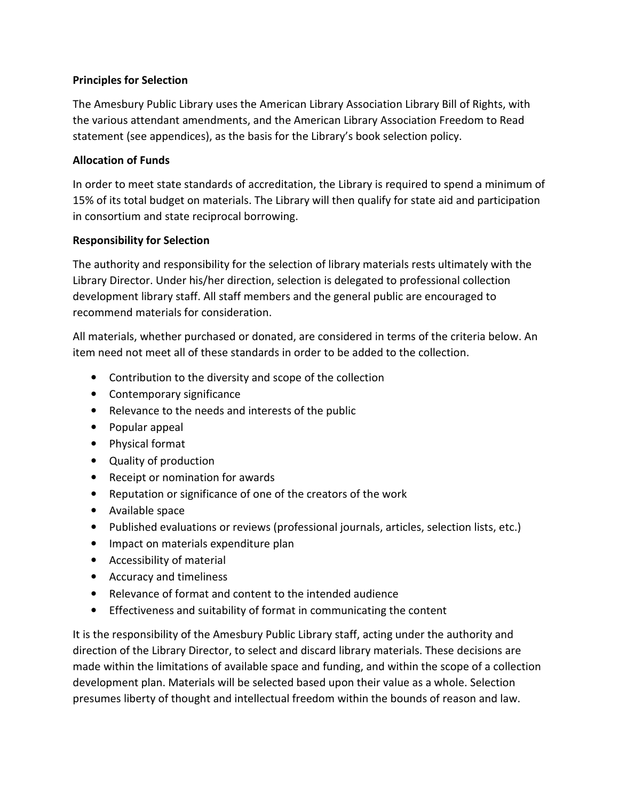## **Principles for Selection**

The Amesbury Public Library uses the American Library Association Library Bill of Rights, with the various attendant amendments, and the American Library Association Freedom to Read statement (see appendices), as the basis for the Library's book selection policy.

#### **Allocation of Funds**

In order to meet state standards of accreditation, the Library is required to spend a minimum of 15% of its total budget on materials. The Library will then qualify for state aid and participation in consortium and state reciprocal borrowing.

#### **Responsibility for Selection**

The authority and responsibility for the selection of library materials rests ultimately with the Library Director. Under his/her direction, selection is delegated to professional collection development library staff. All staff members and the general public are encouraged to recommend materials for consideration.

All materials, whether purchased or donated, are considered in terms of the criteria below. An item need not meet all of these standards in order to be added to the collection.

- Contribution to the diversity and scope of the collection
- Contemporary significance
- Relevance to the needs and interests of the public
- Popular appeal
- Physical format
- Quality of production
- Receipt or nomination for awards
- Reputation or significance of one of the creators of the work
- Available space
- Published evaluations or reviews (professional journals, articles, selection lists, etc.)
- Impact on materials expenditure plan
- Accessibility of material
- Accuracy and timeliness
- Relevance of format and content to the intended audience
- Effectiveness and suitability of format in communicating the content

It is the responsibility of the Amesbury Public Library staff, acting under the authority and direction of the Library Director, to select and discard library materials. These decisions are made within the limitations of available space and funding, and within the scope of a collection development plan. Materials will be selected based upon their value as a whole. Selection presumes liberty of thought and intellectual freedom within the bounds of reason and law.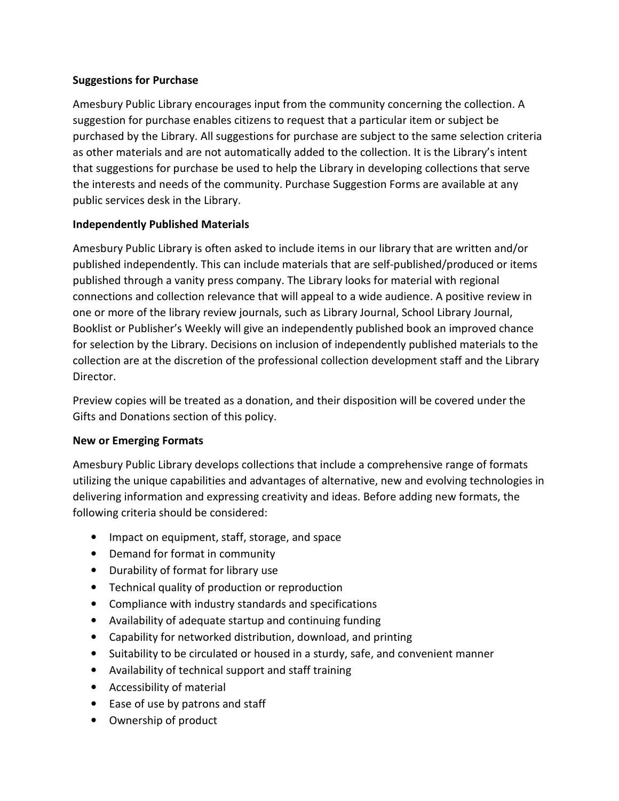#### **Suggestions for Purchase**

Amesbury Public Library encourages input from the community concerning the collection. A suggestion for purchase enables citizens to request that a particular item or subject be purchased by the Library. All suggestions for purchase are subject to the same selection criteria as other materials and are not automatically added to the collection. It is the Library's intent that suggestions for purchase be used to help the Library in developing collections that serve the interests and needs of the community. Purchase Suggestion Forms are available at any public services desk in the Library.

## **Independently Published Materials**

Amesbury Public Library is often asked to include items in our library that are written and/or published independently. This can include materials that are self-published/produced or items published through a vanity press company. The Library looks for material with regional connections and collection relevance that will appeal to a wide audience. A positive review in one or more of the library review journals, such as Library Journal, School Library Journal, Booklist or Publisher's Weekly will give an independently published book an improved chance for selection by the Library. Decisions on inclusion of independently published materials to the collection are at the discretion of the professional collection development staff and the Library Director.

Preview copies will be treated as a donation, and their disposition will be covered under the Gifts and Donations section of this policy.

## **New or Emerging Formats**

Amesbury Public Library develops collections that include a comprehensive range of formats utilizing the unique capabilities and advantages of alternative, new and evolving technologies in delivering information and expressing creativity and ideas. Before adding new formats, the following criteria should be considered:

- Impact on equipment, staff, storage, and space
- Demand for format in community
- Durability of format for library use
- Technical quality of production or reproduction
- Compliance with industry standards and specifications
- Availability of adequate startup and continuing funding
- Capability for networked distribution, download, and printing
- Suitability to be circulated or housed in a sturdy, safe, and convenient manner
- Availability of technical support and staff training
- Accessibility of material
- Ease of use by patrons and staff
- Ownership of product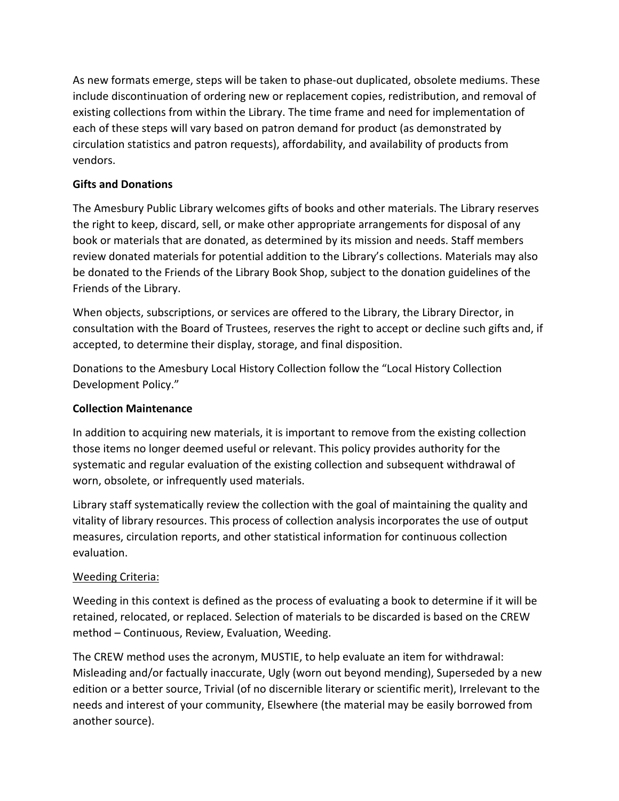As new formats emerge, steps will be taken to phase-out duplicated, obsolete mediums. These include discontinuation of ordering new or replacement copies, redistribution, and removal of existing collections from within the Library. The time frame and need for implementation of each of these steps will vary based on patron demand for product (as demonstrated by circulation statistics and patron requests), affordability, and availability of products from vendors.

# **Gifts and Donations**

The Amesbury Public Library welcomes gifts of books and other materials. The Library reserves the right to keep, discard, sell, or make other appropriate arrangements for disposal of any book or materials that are donated, as determined by its mission and needs. Staff members review donated materials for potential addition to the Library's collections. Materials may also be donated to the Friends of the Library Book Shop, subject to the donation guidelines of the Friends of the Library.

When objects, subscriptions, or services are offered to the Library, the Library Director, in consultation with the Board of Trustees, reserves the right to accept or decline such gifts and, if accepted, to determine their display, storage, and final disposition.

Donations to the Amesbury Local History Collection follow the "Local History Collection Development Policy."

## **Collection Maintenance**

In addition to acquiring new materials, it is important to remove from the existing collection those items no longer deemed useful or relevant. This policy provides authority for the systematic and regular evaluation of the existing collection and subsequent withdrawal of worn, obsolete, or infrequently used materials.

Library staff systematically review the collection with the goal of maintaining the quality and vitality of library resources. This process of collection analysis incorporates the use of output measures, circulation reports, and other statistical information for continuous collection evaluation.

## Weeding Criteria:

Weeding in this context is defined as the process of evaluating a book to determine if it will be retained, relocated, or replaced. Selection of materials to be discarded is based on the CREW method – Continuous, Review, Evaluation, Weeding.

The CREW method uses the acronym, MUSTIE, to help evaluate an item for withdrawal: Misleading and/or factually inaccurate, Ugly (worn out beyond mending), Superseded by a new edition or a better source, Trivial (of no discernible literary or scientific merit), Irrelevant to the needs and interest of your community, Elsewhere (the material may be easily borrowed from another source).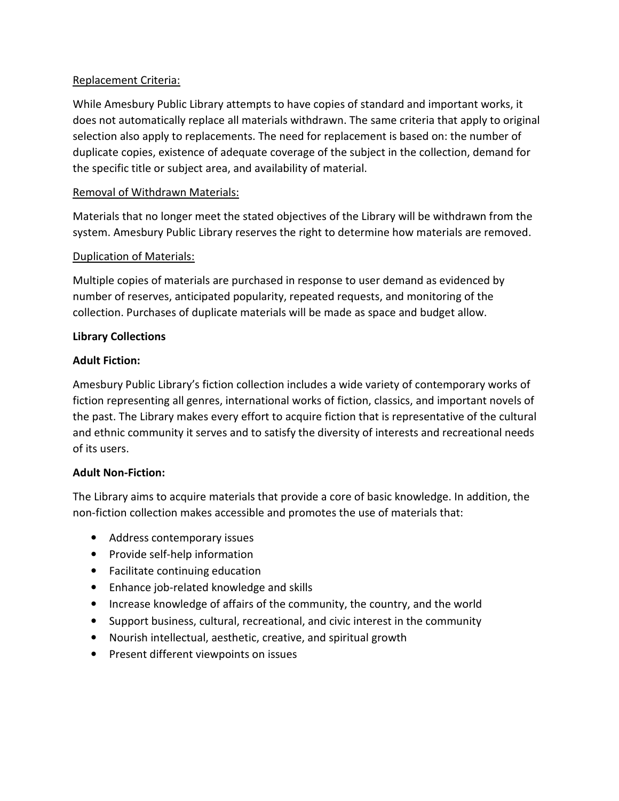#### Replacement Criteria:

While Amesbury Public Library attempts to have copies of standard and important works, it does not automatically replace all materials withdrawn. The same criteria that apply to original selection also apply to replacements. The need for replacement is based on: the number of duplicate copies, existence of adequate coverage of the subject in the collection, demand for the specific title or subject area, and availability of material.

#### Removal of Withdrawn Materials:

Materials that no longer meet the stated objectives of the Library will be withdrawn from the system. Amesbury Public Library reserves the right to determine how materials are removed.

#### Duplication of Materials:

Multiple copies of materials are purchased in response to user demand as evidenced by number of reserves, anticipated popularity, repeated requests, and monitoring of the collection. Purchases of duplicate materials will be made as space and budget allow.

#### **Library Collections**

#### **Adult Fiction:**

Amesbury Public Library's fiction collection includes a wide variety of contemporary works of fiction representing all genres, international works of fiction, classics, and important novels of the past. The Library makes every effort to acquire fiction that is representative of the cultural and ethnic community it serves and to satisfy the diversity of interests and recreational needs of its users.

#### **Adult Non-Fiction:**

The Library aims to acquire materials that provide a core of basic knowledge. In addition, the non-fiction collection makes accessible and promotes the use of materials that:

- Address contemporary issues
- Provide self-help information
- Facilitate continuing education
- Enhance job-related knowledge and skills
- Increase knowledge of affairs of the community, the country, and the world
- Support business, cultural, recreational, and civic interest in the community
- Nourish intellectual, aesthetic, creative, and spiritual growth
- Present different viewpoints on issues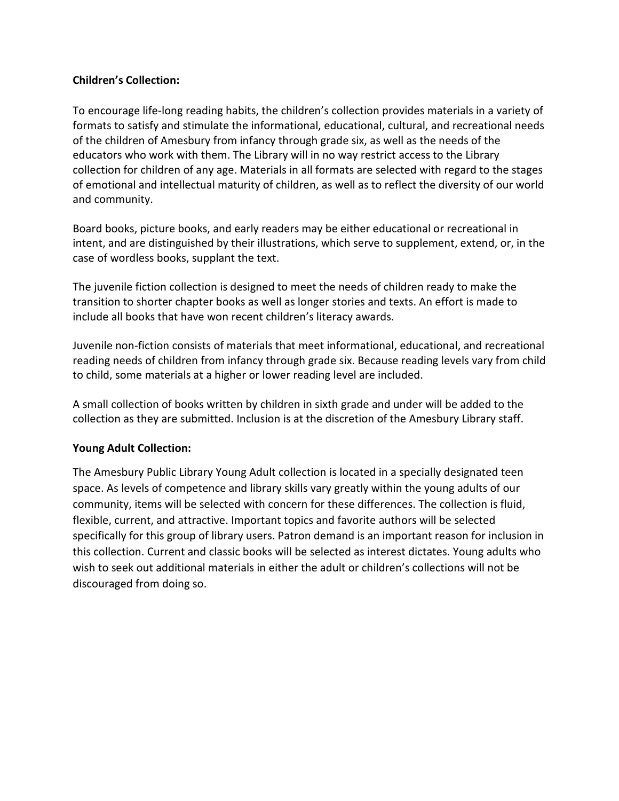#### **Children's Collection:**

To encourage life-long reading habits, the children's collection provides materials in a variety of formats to satisfy and stimulate the informational, educational, cultural, and recreational needs of the children of Amesbury from infancy through grade six, as well as the needs of the educators who work with them. The Library will in no way restrict access to the Library collection for children of any age. Materials in all formats are selected with regard to the stages of emotional and intellectual maturity of children, as well as to reflect the diversity of our world and community.

Board books, picture books, and early readers may be either educational or recreational in intent, and are distinguished by their illustrations, which serve to supplement, extend, or, in the case of wordless books, supplant the text.

The juvenile fiction collection is designed to meet the needs of children ready to make the transition to shorter chapter books as well as longer stories and texts. An effort is made to include all books that have won recent children's literacy awards.

Juvenile non-fiction consists of materials that meet informational, educational, and recreational reading needs of children from infancy through grade six. Because reading levels vary from child to child, some materials at a higher or lower reading level are included.

A small collection of books written by children in sixth grade and under will be added to the collection as they are submitted. Inclusion is at the discretion of the Amesbury Library staff.

## **Young Adult Collection:**

The Amesbury Public Library Young Adult collection is located in a specially designated teen space. As levels of competence and library skills vary greatly within the young adults of our community, items will be selected with concern for these differences. The collection is fluid, flexible, current, and attractive. Important topics and favorite authors will be selected specifically for this group of library users. Patron demand is an important reason for inclusion in this collection. Current and classic books will be selected as interest dictates. Young adults who wish to seek out additional materials in either the adult or children's collections will not be discouraged from doing so.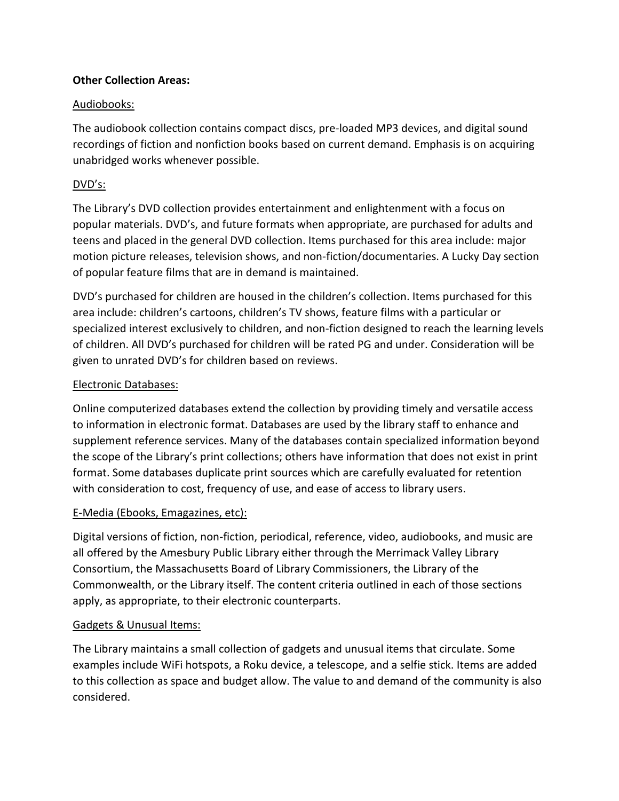#### **Other Collection Areas:**

#### Audiobooks:

The audiobook collection contains compact discs, pre-loaded MP3 devices, and digital sound recordings of fiction and nonfiction books based on current demand. Emphasis is on acquiring unabridged works whenever possible.

## DVD's:

The Library's DVD collection provides entertainment and enlightenment with a focus on popular materials. DVD's, and future formats when appropriate, are purchased for adults and teens and placed in the general DVD collection. Items purchased for this area include: major motion picture releases, television shows, and non-fiction/documentaries. A Lucky Day section of popular feature films that are in demand is maintained.

DVD's purchased for children are housed in the children's collection. Items purchased for this area include: children's cartoons, children's TV shows, feature films with a particular or specialized interest exclusively to children, and non-fiction designed to reach the learning levels of children. All DVD's purchased for children will be rated PG and under. Consideration will be given to unrated DVD's for children based on reviews.

## Electronic Databases:

Online computerized databases extend the collection by providing timely and versatile access to information in electronic format. Databases are used by the library staff to enhance and supplement reference services. Many of the databases contain specialized information beyond the scope of the Library's print collections; others have information that does not exist in print format. Some databases duplicate print sources which are carefully evaluated for retention with consideration to cost, frequency of use, and ease of access to library users.

## E-Media (Ebooks, Emagazines, etc):

Digital versions of fiction, non-fiction, periodical, reference, video, audiobooks, and music are all offered by the Amesbury Public Library either through the Merrimack Valley Library Consortium, the Massachusetts Board of Library Commissioners, the Library of the Commonwealth, or the Library itself. The content criteria outlined in each of those sections apply, as appropriate, to their electronic counterparts.

## Gadgets & Unusual Items:

The Library maintains a small collection of gadgets and unusual items that circulate. Some examples include WiFi hotspots, a Roku device, a telescope, and a selfie stick. Items are added to this collection as space and budget allow. The value to and demand of the community is also considered.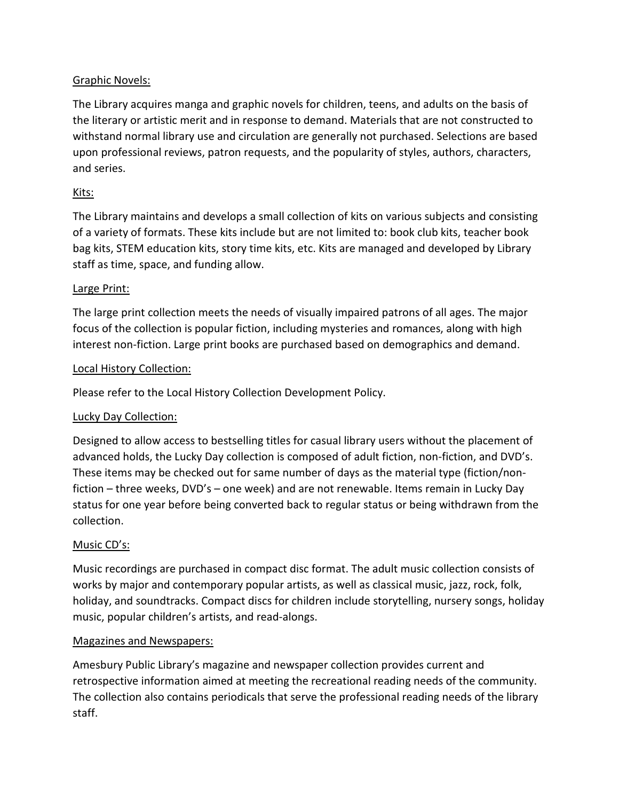## Graphic Novels:

The Library acquires manga and graphic novels for children, teens, and adults on the basis of the literary or artistic merit and in response to demand. Materials that are not constructed to withstand normal library use and circulation are generally not purchased. Selections are based upon professional reviews, patron requests, and the popularity of styles, authors, characters, and series.

# Kits:

The Library maintains and develops a small collection of kits on various subjects and consisting of a variety of formats. These kits include but are not limited to: book club kits, teacher book bag kits, STEM education kits, story time kits, etc. Kits are managed and developed by Library staff as time, space, and funding allow.

## Large Print:

The large print collection meets the needs of visually impaired patrons of all ages. The major focus of the collection is popular fiction, including mysteries and romances, along with high interest non-fiction. Large print books are purchased based on demographics and demand.

## Local History Collection:

Please refer to the Local History Collection Development Policy.

## Lucky Day Collection:

Designed to allow access to bestselling titles for casual library users without the placement of advanced holds, the Lucky Day collection is composed of adult fiction, non-fiction, and DVD's. These items may be checked out for same number of days as the material type (fiction/nonfiction – three weeks, DVD's – one week) and are not renewable. Items remain in Lucky Day status for one year before being converted back to regular status or being withdrawn from the collection.

## Music CD's:

Music recordings are purchased in compact disc format. The adult music collection consists of works by major and contemporary popular artists, as well as classical music, jazz, rock, folk, holiday, and soundtracks. Compact discs for children include storytelling, nursery songs, holiday music, popular children's artists, and read-alongs.

## Magazines and Newspapers:

Amesbury Public Library's magazine and newspaper collection provides current and retrospective information aimed at meeting the recreational reading needs of the community. The collection also contains periodicals that serve the professional reading needs of the library staff.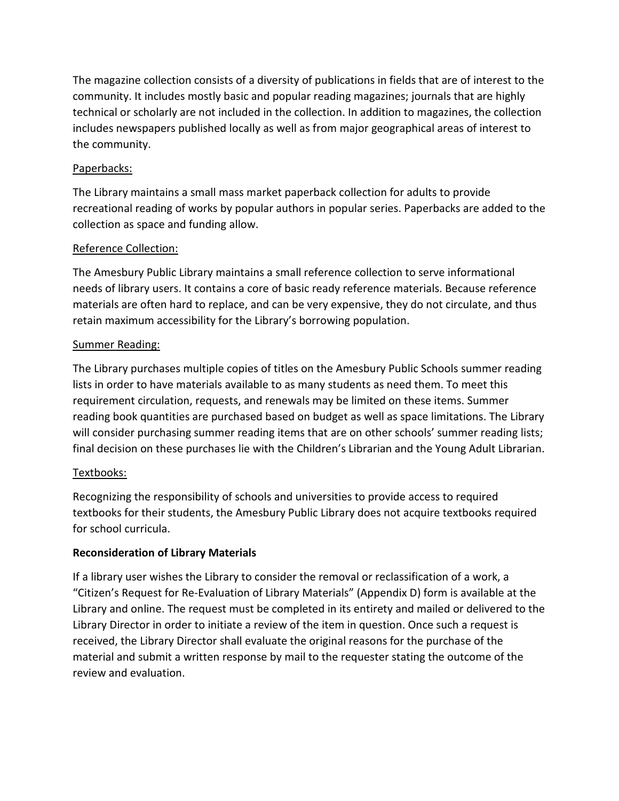The magazine collection consists of a diversity of publications in fields that are of interest to the community. It includes mostly basic and popular reading magazines; journals that are highly technical or scholarly are not included in the collection. In addition to magazines, the collection includes newspapers published locally as well as from major geographical areas of interest to the community.

## Paperbacks:

The Library maintains a small mass market paperback collection for adults to provide recreational reading of works by popular authors in popular series. Paperbacks are added to the collection as space and funding allow.

# Reference Collection:

The Amesbury Public Library maintains a small reference collection to serve informational needs of library users. It contains a core of basic ready reference materials. Because reference materials are often hard to replace, and can be very expensive, they do not circulate, and thus retain maximum accessibility for the Library's borrowing population.

# Summer Reading:

The Library purchases multiple copies of titles on the Amesbury Public Schools summer reading lists in order to have materials available to as many students as need them. To meet this requirement circulation, requests, and renewals may be limited on these items. Summer reading book quantities are purchased based on budget as well as space limitations. The Library will consider purchasing summer reading items that are on other schools' summer reading lists; final decision on these purchases lie with the Children's Librarian and the Young Adult Librarian.

# Textbooks:

Recognizing the responsibility of schools and universities to provide access to required textbooks for their students, the Amesbury Public Library does not acquire textbooks required for school curricula.

## **Reconsideration of Library Materials**

If a library user wishes the Library to consider the removal or reclassification of a work, a "Citizen's Request for Re-Evaluation of Library Materials" (Appendix D) form is available at the Library and online. The request must be completed in its entirety and mailed or delivered to the Library Director in order to initiate a review of the item in question. Once such a request is received, the Library Director shall evaluate the original reasons for the purchase of the material and submit a written response by mail to the requester stating the outcome of the review and evaluation.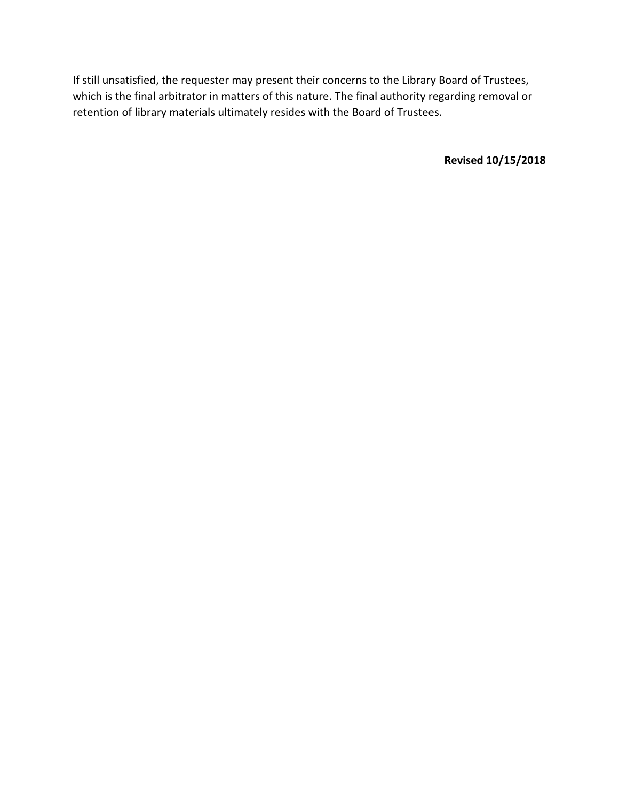If still unsatisfied, the requester may present their concerns to the Library Board of Trustees, which is the final arbitrator in matters of this nature. The final authority regarding removal or retention of library materials ultimately resides with the Board of Trustees.

**Revised 10/15/2018**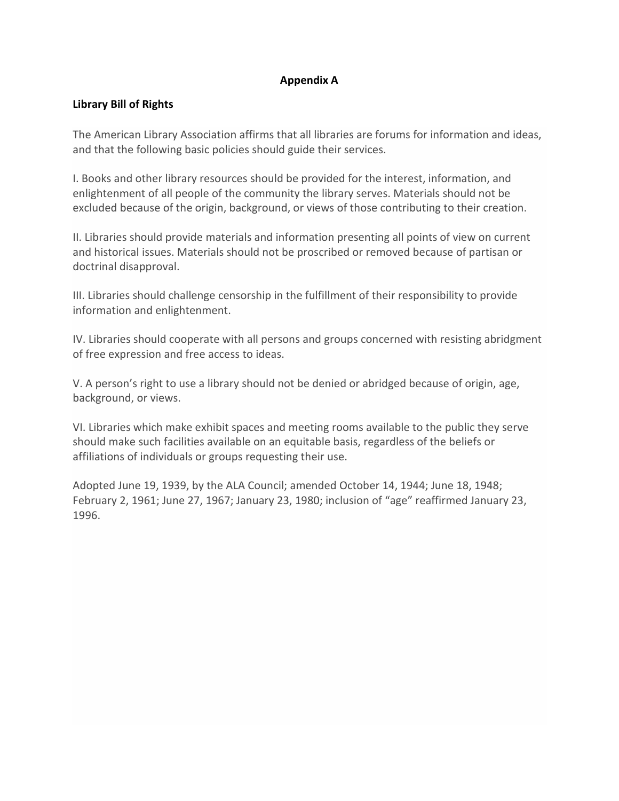#### **Appendix A**

#### **Library Bill of Rights**

The American Library Association affirms that all libraries are forums for information and ideas, and that the following basic policies should guide their services.

I. Books and other library resources should be provided for the interest, information, and enlightenment of all people of the community the library serves. Materials should not be excluded because of the origin, background, or views of those contributing to their creation.

II. Libraries should provide materials and information presenting all points of view on current and historical issues. Materials should not be proscribed or removed because of partisan or doctrinal disapproval.

III. Libraries should challenge censorship in the fulfillment of their responsibility to provide information and enlightenment.

IV. Libraries should cooperate with all persons and groups concerned with resisting abridgment of free expression and free access to ideas.

V. A person's right to use a library should not be denied or abridged because of origin, age, background, or views.

VI. Libraries which make exhibit spaces and meeting rooms available to the public they serve should make such facilities available on an equitable basis, regardless of the beliefs or affiliations of individuals or groups requesting their use.

Adopted June 19, 1939, by the ALA Council; amended October 14, 1944; June 18, 1948; February 2, 1961; June 27, 1967; January 23, 1980; inclusion of "age" reaffirmed January 23, 1996.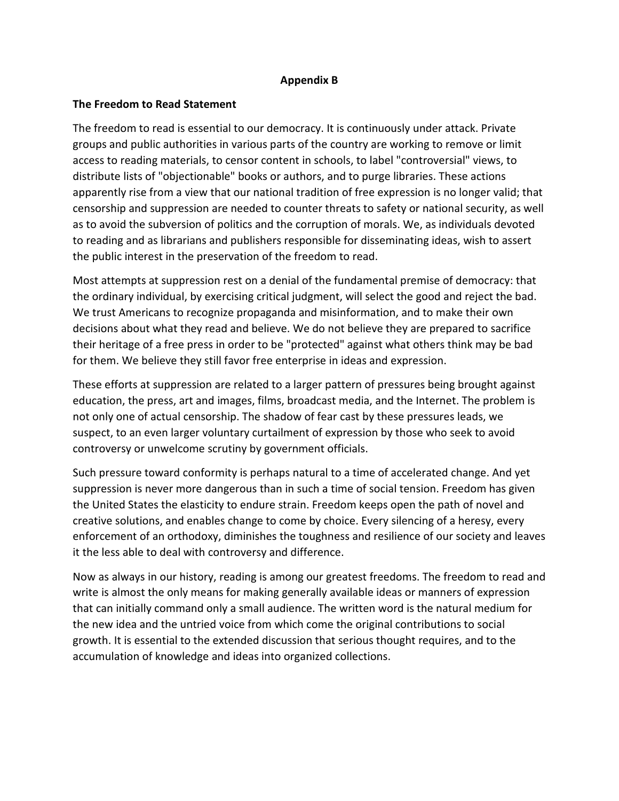#### **Appendix B**

#### **The Freedom to Read Statement**

The freedom to read is essential to our democracy. It is continuously under attack. Private groups and public authorities in various parts of the country are working to remove or limit access to reading materials, to censor content in schools, to label "controversial" views, to distribute lists of "objectionable" books or authors, and to purge libraries. These actions apparently rise from a view that our national tradition of free expression is no longer valid; that censorship and suppression are needed to counter threats to safety or national security, as well as to avoid the subversion of politics and the corruption of morals. We, as individuals devoted to reading and as librarians and publishers responsible for disseminating ideas, wish to assert the public interest in the preservation of the freedom to read.

Most attempts at suppression rest on a denial of the fundamental premise of democracy: that the ordinary individual, by exercising critical judgment, will select the good and reject the bad. We trust Americans to recognize propaganda and misinformation, and to make their own decisions about what they read and believe. We do not believe they are prepared to sacrifice their heritage of a free press in order to be "protected" against what others think may be bad for them. We believe they still favor free enterprise in ideas and expression.

These efforts at suppression are related to a larger pattern of pressures being brought against education, the press, art and images, films, broadcast media, and the Internet. The problem is not only one of actual censorship. The shadow of fear cast by these pressures leads, we suspect, to an even larger voluntary curtailment of expression by those who seek to avoid controversy or unwelcome scrutiny by government officials.

Such pressure toward conformity is perhaps natural to a time of accelerated change. And yet suppression is never more dangerous than in such a time of social tension. Freedom has given the United States the elasticity to endure strain. Freedom keeps open the path of novel and creative solutions, and enables change to come by choice. Every silencing of a heresy, every enforcement of an orthodoxy, diminishes the toughness and resilience of our society and leaves it the less able to deal with controversy and difference.

Now as always in our history, reading is among our greatest freedoms. The freedom to read and write is almost the only means for making generally available ideas or manners of expression that can initially command only a small audience. The written word is the natural medium for the new idea and the untried voice from which come the original contributions to social growth. It is essential to the extended discussion that serious thought requires, and to the accumulation of knowledge and ideas into organized collections.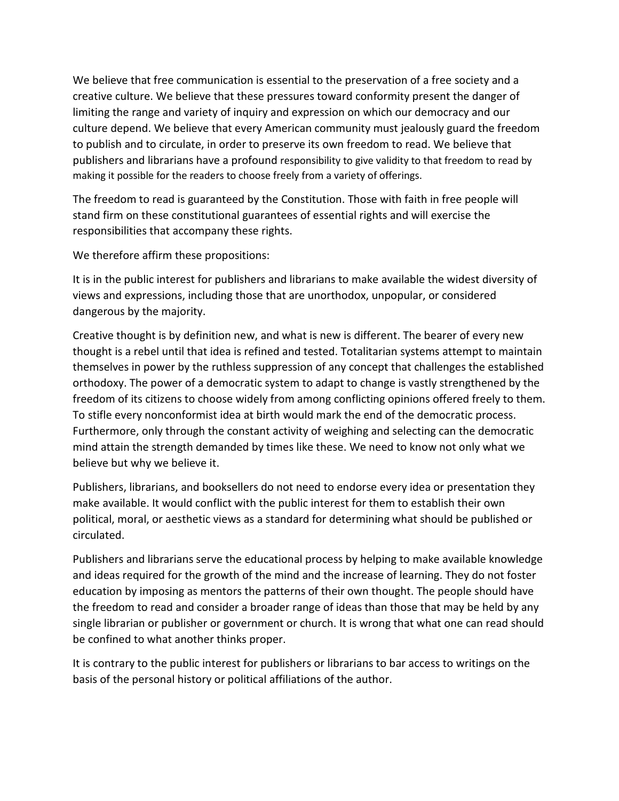We believe that free communication is essential to the preservation of a free society and a creative culture. We believe that these pressures toward conformity present the danger of limiting the range and variety of inquiry and expression on which our democracy and our culture depend. We believe that every American community must jealously guard the freedom to publish and to circulate, in order to preserve its own freedom to read. We believe that publishers and librarians have a profound responsibility to give validity to that freedom to read by making it possible for the readers to choose freely from a variety of offerings.

The freedom to read is guaranteed by the Constitution. Those with faith in free people will stand firm on these constitutional guarantees of essential rights and will exercise the responsibilities that accompany these rights.

We therefore affirm these propositions:

It is in the public interest for publishers and librarians to make available the widest diversity of views and expressions, including those that are unorthodox, unpopular, or considered dangerous by the majority.

Creative thought is by definition new, and what is new is different. The bearer of every new thought is a rebel until that idea is refined and tested. Totalitarian systems attempt to maintain themselves in power by the ruthless suppression of any concept that challenges the established orthodoxy. The power of a democratic system to adapt to change is vastly strengthened by the freedom of its citizens to choose widely from among conflicting opinions offered freely to them. To stifle every nonconformist idea at birth would mark the end of the democratic process. Furthermore, only through the constant activity of weighing and selecting can the democratic mind attain the strength demanded by times like these. We need to know not only what we believe but why we believe it.

Publishers, librarians, and booksellers do not need to endorse every idea or presentation they make available. It would conflict with the public interest for them to establish their own political, moral, or aesthetic views as a standard for determining what should be published or circulated.

Publishers and librarians serve the educational process by helping to make available knowledge and ideas required for the growth of the mind and the increase of learning. They do not foster education by imposing as mentors the patterns of their own thought. The people should have the freedom to read and consider a broader range of ideas than those that may be held by any single librarian or publisher or government or church. It is wrong that what one can read should be confined to what another thinks proper.

It is contrary to the public interest for publishers or librarians to bar access to writings on the basis of the personal history or political affiliations of the author.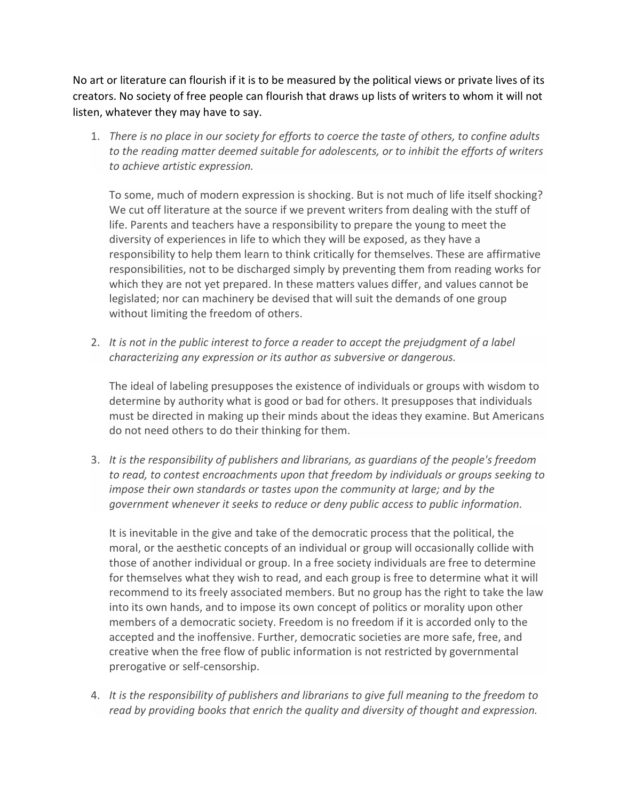No art or literature can flourish if it is to be measured by the political views or private lives of its creators. No society of free people can flourish that draws up lists of writers to whom it will not listen, whatever they may have to say.

1. *There is no place in our society for efforts to coerce the taste of others, to confine adults to the reading matter deemed suitable for adolescents, or to inhibit the efforts of writers to achieve artistic expression.*

To some, much of modern expression is shocking. But is not much of life itself shocking? We cut off literature at the source if we prevent writers from dealing with the stuff of life. Parents and teachers have a responsibility to prepare the young to meet the diversity of experiences in life to which they will be exposed, as they have a responsibility to help them learn to think critically for themselves. These are affirmative responsibilities, not to be discharged simply by preventing them from reading works for which they are not yet prepared. In these matters values differ, and values cannot be legislated; nor can machinery be devised that will suit the demands of one group without limiting the freedom of others.

2. *It is not in the public interest to force a reader to accept the prejudgment of a label characterizing any expression or its author as subversive or dangerous.*

The ideal of labeling presupposes the existence of individuals or groups with wisdom to determine by authority what is good or bad for others. It presupposes that individuals must be directed in making up their minds about the ideas they examine. But Americans do not need others to do their thinking for them.

3. *It is the responsibility of publishers and librarians, as guardians of the people's freedom to read, to contest encroachments upon that freedom by individuals or groups seeking to impose their own standards or tastes upon the community at large; and by the government whenever it seeks to reduce or deny public access to public information.*

It is inevitable in the give and take of the democratic process that the political, the moral, or the aesthetic concepts of an individual or group will occasionally collide with those of another individual or group. In a free society individuals are free to determine for themselves what they wish to read, and each group is free to determine what it will recommend to its freely associated members. But no group has the right to take the law into its own hands, and to impose its own concept of politics or morality upon other members of a democratic society. Freedom is no freedom if it is accorded only to the accepted and the inoffensive. Further, democratic societies are more safe, free, and creative when the free flow of public information is not restricted by governmental prerogative or self-censorship.

4. *It is the responsibility of publishers and librarians to give full meaning to the freedom to read by providing books that enrich the quality and diversity of thought and expression.*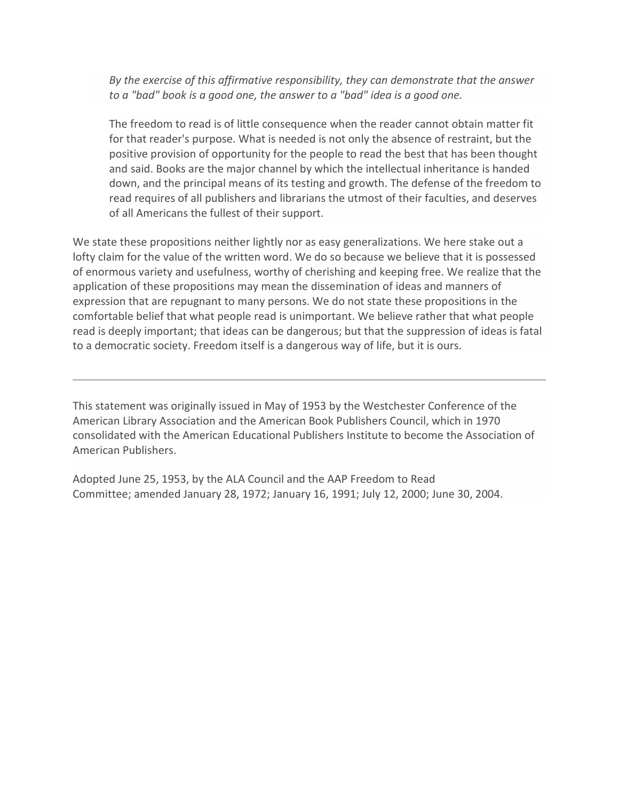*By the exercise of this affirmative responsibility, they can demonstrate that the answer to a "bad" book is a good one, the answer to a "bad" idea is a good one.*

The freedom to read is of little consequence when the reader cannot obtain matter fit for that reader's purpose. What is needed is not only the absence of restraint, but the positive provision of opportunity for the people to read the best that has been thought and said. Books are the major channel by which the intellectual inheritance is handed down, and the principal means of its testing and growth. The defense of the freedom to read requires of all publishers and librarians the utmost of their faculties, and deserves of all Americans the fullest of their support.

We state these propositions neither lightly nor as easy generalizations. We here stake out a lofty claim for the value of the written word. We do so because we believe that it is possessed of enormous variety and usefulness, worthy of cherishing and keeping free. We realize that the application of these propositions may mean the dissemination of ideas and manners of expression that are repugnant to many persons. We do not state these propositions in the comfortable belief that what people read is unimportant. We believe rather that what people read is deeply important; that ideas can be dangerous; but that the suppression of ideas is fatal to a democratic society. Freedom itself is a dangerous way of life, but it is ours.

This statement was originally issued in May of 1953 by the Westchester Conference of the American Library Association and the American Book Publishers Council, which in 1970 consolidated with the American Educational Publishers Institute to become the Association of American Publishers.

Adopted June 25, 1953, by the ALA Council and the AAP Freedom to Read Committee; amended January 28, 1972; January 16, 1991; July 12, 2000; June 30, 2004.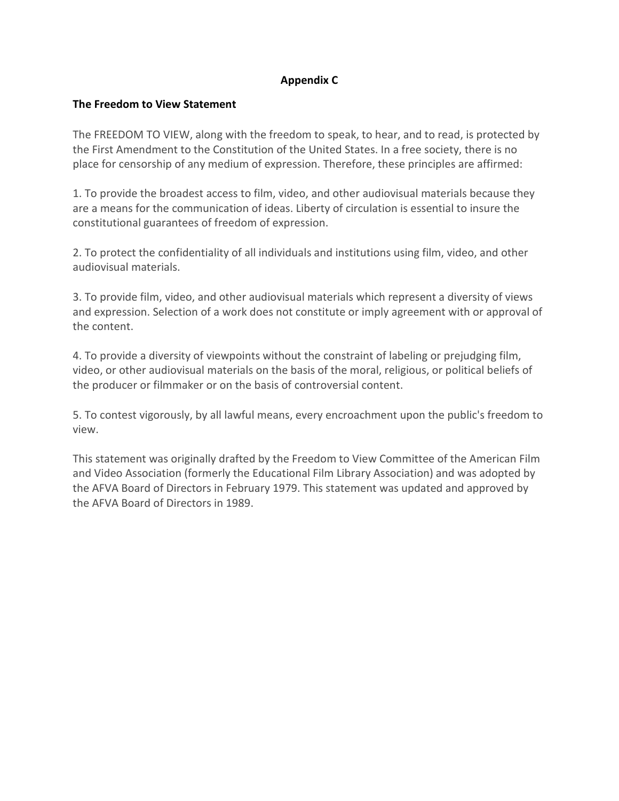#### **Appendix C**

#### **The Freedom to View Statement**

The FREEDOM TO VIEW, along with the freedom to speak, to hear, and to read, is protected by the First Amendment to the Constitution of the United States. In a free society, there is no place for censorship of any medium of expression. Therefore, these principles are affirmed:

1. To provide the broadest access to film, video, and other audiovisual materials because they are a means for the communication of ideas. Liberty of circulation is essential to insure the constitutional guarantees of freedom of expression.

2. To protect the confidentiality of all individuals and institutions using film, video, and other audiovisual materials.

3. To provide film, video, and other audiovisual materials which represent a diversity of views and expression. Selection of a work does not constitute or imply agreement with or approval of the content.

4. To provide a diversity of viewpoints without the constraint of labeling or prejudging film, video, or other audiovisual materials on the basis of the moral, religious, or political beliefs of the producer or filmmaker or on the basis of controversial content.

5. To contest vigorously, by all lawful means, every encroachment upon the public's freedom to view.

This statement was originally drafted by the Freedom to View Committee of the American Film and Video Association (formerly the Educational Film Library Association) and was adopted by the AFVA Board of Directors in February 1979. This statement was updated and approved by the AFVA Board of Directors in 1989.